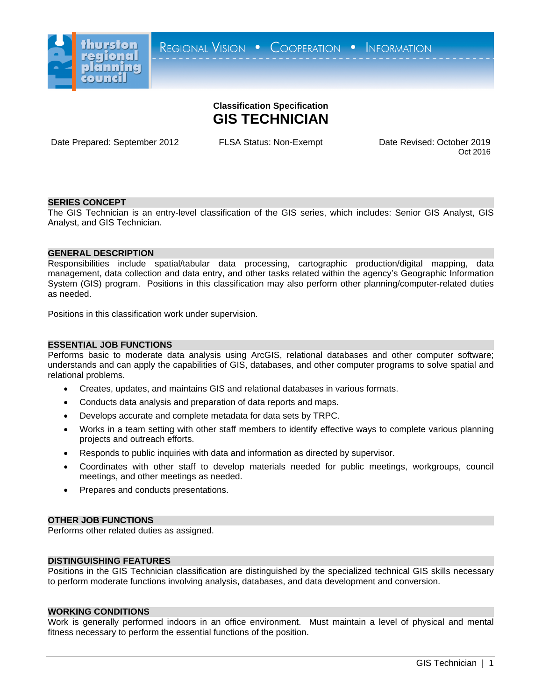

# **Classification Specification GIS TECHNICIAN**

Date Prepared: September 2012 FLSA Status: Non-Exempt Date Revised: October 2019

Oct 2016

# **SERIES CONCEPT**

The GIS Technician is an entry-level classification of the GIS series, which includes: Senior GIS Analyst, GIS Analyst, and GIS Technician.

# **GENERAL DESCRIPTION**

Responsibilities include spatial/tabular data processing, cartographic production/digital mapping, data management, data collection and data entry, and other tasks related within the agency's Geographic Information System (GIS) program. Positions in this classification may also perform other planning/computer-related duties as needed.

Positions in this classification work under supervision.

## **ESSENTIAL JOB FUNCTIONS**

Performs basic to moderate data analysis using ArcGIS, relational databases and other computer software; understands and can apply the capabilities of GIS, databases, and other computer programs to solve spatial and relational problems.

- Creates, updates, and maintains GIS and relational databases in various formats.
- Conducts data analysis and preparation of data reports and maps.
- Develops accurate and complete metadata for data sets by TRPC.
- Works in a team setting with other staff members to identify effective ways to complete various planning projects and outreach efforts.
- Responds to public inquiries with data and information as directed by supervisor.
- Coordinates with other staff to develop materials needed for public meetings, workgroups, council meetings, and other meetings as needed.
- Prepares and conducts presentations.

## **OTHER JOB FUNCTIONS**

Performs other related duties as assigned.

## **DISTINGUISHING FEATURES**

Positions in the GIS Technician classification are distinguished by the specialized technical GIS skills necessary to perform moderate functions involving analysis, databases, and data development and conversion.

#### **WORKING CONDITIONS**

Work is generally performed indoors in an office environment. Must maintain a level of physical and mental fitness necessary to perform the essential functions of the position.